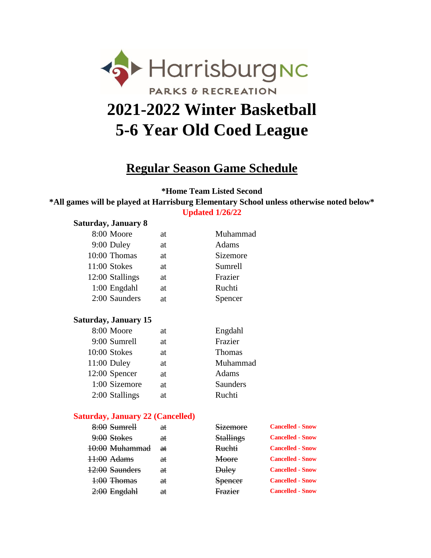

# **2021-2022 Winter Basketball 5-6 Year Old Coed League**

# **Regular Season Game Schedule**

**\*Home Team Listed Second**

**Updated 1/26/22 \*All games will be played at Harrisburg Elementary School unless otherwise noted below\***

### **Saturday, January 8**

| 8:00 Moore      | at | Muhammad |
|-----------------|----|----------|
| 9:00 Duley      | at | Adams    |
| 10:00 Thomas    | at | Sizemore |
| 11:00 Stokes    | at | Sumrell  |
| 12:00 Stallings | at | Frazier  |
| $1:00$ Engdahl  | at | Ruchti   |
| 2:00 Saunders   | аt | Spencer  |

### **Saturday, January 15**

| 8:00 Moore     | at | Engdahl       |
|----------------|----|---------------|
| 9:00 Sumrell   | at | Frazier       |
| 10:00 Stokes   | at | <b>Thomas</b> |
| $11:00$ Duley  | at | Muhammad      |
| 12:00 Spencer  | at | Adams         |
| 1:00 Sizemore  | at | Saunders      |
| 2:00 Stallings | at | Ruchti        |
|                |    |               |

### **Saturday, January 22 (Cancelled)**

| 8:00 Sumrell   | €ŧ | Sizemore         | <b>Cancelled - Snow</b> |
|----------------|----|------------------|-------------------------|
| 9:00 Stokes    | aŧ | <b>Stallings</b> | <b>Cancelled - Snow</b> |
| 40:00 Muhammad | aŧ | Ruchti           | <b>Cancelled - Snow</b> |
| $44:00$ Adams  | aŧ | Moore            | <b>Cancelled - Snow</b> |
| 12:00 Saunders | aŧ | <b>Duley</b>     | <b>Cancelled - Snow</b> |
| $4:00$ Thomas  | aŧ | <b>Spencer</b>   | <b>Cancelled - Snow</b> |
| $2:00$ Engdahl | θŧ | Frazier          | <b>Cancelled - Snow</b> |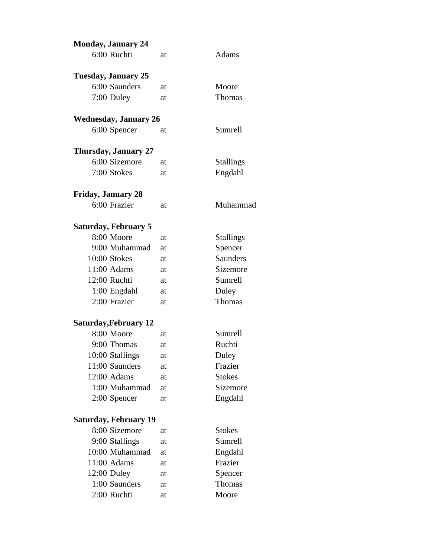| <b>Monday, January 24</b>    |    |                  |
|------------------------------|----|------------------|
| 6:00 Ruchti                  | at | Adams            |
| Tuesday, January 25          |    |                  |
| 6:00 Saunders                | at | Moore            |
| 7:00 Duley                   | at | Thomas           |
| <b>Wednesday, January 26</b> |    |                  |
| 6:00 Spencer                 | at | Sumrell          |
| <b>Thursday, January 27</b>  |    |                  |
| 6:00 Sizemore                | at | <b>Stallings</b> |
| 7:00 Stokes                  | at | Engdahl          |
| <b>Friday, January 28</b>    |    |                  |
| 6:00 Frazier                 | at | Muhammad         |
| <b>Saturday, February 5</b>  |    |                  |
| 8:00 Moore                   | at | <b>Stallings</b> |
| 9:00 Muhammad                | at | Spencer          |
| 10:00 Stokes                 | at | <b>Saunders</b>  |
| 11:00 Adams                  | at | Sizemore         |
| 12:00 Ruchti                 | at | Sumrell          |
| $1:00$ Engdahl               | at | Duley            |
| 2:00 Frazier                 | at | Thomas           |
| <b>Saturday, February 12</b> |    |                  |
| 8:00 Moore                   | at | Sumrell          |
| 9:00 Thomas                  | at | Ruchti           |
| 10:00 Stallings              | at | Duley            |
| 11:00 Saunders               | at | Frazier          |
| 12:00 Adams                  | at | <b>Stokes</b>    |
| 1:00 Muhammad                | at | Sizemore         |
| $2:00$ Spencer               | at | Engdahl          |
| <b>Saturday, February 19</b> |    |                  |
| 8:00 Sizemore                | at | <b>Stokes</b>    |
| 9:00 Stallings               | at | Sumrell          |
| 10:00 Muhammad               | at | Engdahl          |
| 11:00 Adams                  | at | Frazier          |
| $12:00$ Duley                | at | Spencer          |
| 1:00 Saunders                | at | Thomas           |
| 2:00 Ruchti                  | at | Moore            |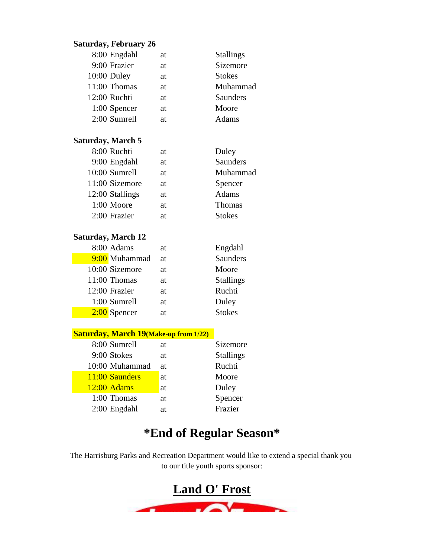# **Saturday, February 26**

| 8:00 Engdahl   | at | <b>Stallings</b> |
|----------------|----|------------------|
| 9:00 Frazier   | at | Sizemore         |
| 10:00 Duley    | at | <b>Stokes</b>    |
| 11:00 Thomas   | at | Muhammad         |
| 12:00 Ruchti   | at | Saunders         |
| $1:00$ Spencer | at | Moore            |
| 2:00 Sumrell   | аt | Adams            |

# **Saturday, March 5**

| 8:00 Ruchti     | at | Duley         |
|-----------------|----|---------------|
| 9:00 Engdahl    | at | Saunders      |
| 10:00 Sumrell   | at | Muhammad      |
| 11:00 Sizemore  | at | Spencer       |
| 12:00 Stallings | at | Adams         |
| 1:00 Moore      | at | Thomas        |
| 2:00 Frazier    | at | <b>Stokes</b> |

## **Saturday, March 12**

| 8:00 Adams     | at | Engdahl          |
|----------------|----|------------------|
| 9:00 Muhammad  | at | Saunders         |
| 10:00 Sizemore | at | Moore            |
| 11:00 Thomas   | at | <b>Stallings</b> |
| 12:00 Frazier  | at | Ruchti           |
| 1:00 Sumrell   | at | Duley            |
| $2:00$ Spencer | at | <b>Stokes</b>    |

## **Saturday, March 19(Make-up from 1/22)**

| 8:00 Sumrell   | at | Sizemore         |
|----------------|----|------------------|
| 9:00 Stokes    | at | <b>Stallings</b> |
| 10:00 Muhammad | at | Ruchti           |
| 11:00 Saunders | at | Moore            |
| $12:00$ Adams  | at | Duley            |
| 1:00 Thomas    | at | Spencer          |
| 2:00 Engdahl   | at | Frazier          |

# **\*End of Regular Season\***

The Harrisburg Parks and Recreation Department would like to extend a special thank you to our title youth sports sponsor: